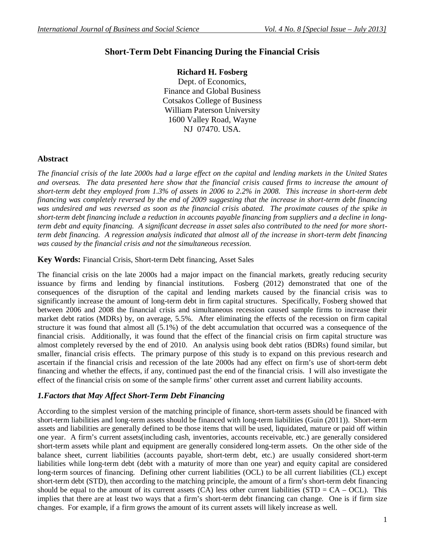# **Short-Term Debt Financing During the Financial Crisis**

## **Richard H. Fosberg**

Dept. of Economics, Finance and Global Business Cotsakos College of Business William Paterson University 1600 Valley Road, Wayne NJ 07470. USA.

#### **Abstract**

*The financial crisis of the late 2000s had a large effect on the capital and lending markets in the United States and overseas. The data presented here show that the financial crisis caused firms to increase the amount of short-term debt they employed from 1.3% of assets in 2006 to 2.2% in 2008. This increase in short-term debt financing was completely reversed by the end of 2009 suggesting that the increase in short-term debt financing was undesired and was reversed as soon as the financial crisis abated. The proximate causes of the spike in short-term debt financing include a reduction in accounts payable financing from suppliers and a decline in longterm debt and equity financing. A significant decrease in asset sales also contributed to the need for more shortterm debt financing. A regression analysis indicated that almost all of the increase in short-term debt financing was caused by the financial crisis and not the simultaneous recession.*

#### **Key Words:** Financial Crisis, Short-term Debt financing, Asset Sales

The financial crisis on the late 2000s had a major impact on the financial markets, greatly reducing security issuance by firms and lending by financial institutions. Fosberg (2012) demonstrated that one of the consequences of the disruption of the capital and lending markets caused by the financial crisis was to significantly increase the amount of long-term debt in firm capital structures. Specifically, Fosberg showed that between 2006 and 2008 the financial crisis and simultaneous recession caused sample firms to increase their market debt ratios (MDRs) by, on average, 5.5%. After eliminating the effects of the recession on firm capital structure it was found that almost all (5.1%) of the debt accumulation that occurred was a consequence of the financial crisis. Additionally, it was found that the effect of the financial crisis on firm capital structure was almost completely reversed by the end of 2010. An analysis using book debt ratios (BDRs) found similar, but smaller, financial crisis effects. The primary purpose of this study is to expand on this previous research and ascertain if the financial crisis and recession of the late 2000s had any effect on firm's use of short-term debt financing and whether the effects, if any, continued past the end of the financial crisis. I will also investigate the effect of the financial crisis on some of the sample firms' other current asset and current liability accounts.

### *1.Factors that May Affect Short-Term Debt Financing*

According to the simplest version of the matching principle of finance, short-term assets should be financed with short-term liabilities and long-term assets should be financed with long-term liabilities (Guin (2011)). Short-term assets and liabilities are generally defined to be those items that will be used, liquidated, mature or paid off within one year. A firm's current assets(including cash, inventories, accounts receivable, etc.) are generally considered short-term assets while plant and equipment are generally considered long-term assets. On the other side of the balance sheet, current liabilities (accounts payable, short-term debt, etc.) are usually considered short-term liabilities while long-term debt (debt with a maturity of more than one year) and equity capital are considered long-term sources of financing. Defining other current liabilities (OCL) to be all current liabilities (CL) except short-term debt (STD), then according to the matching principle, the amount of a firm's short-term debt financing should be equal to the amount of its current assets  $(CA)$  less other current liabilities  $(STD = CA - OCL)$ . This implies that there are at least two ways that a firm's short-term debt financing can change. One is if firm size changes. For example, if a firm grows the amount of its current assets will likely increase as well.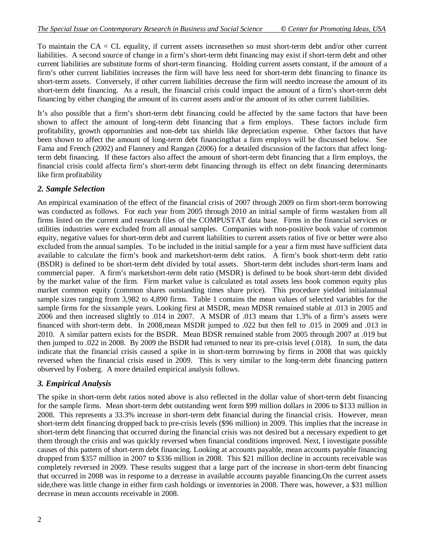To maintain the  $CA = CL$  equality, if current assets increasethen so must short-term debt and/or other current liabilities. A second source of change in a firm's short-term debt financing may exist if short-term debt and other current liabilities are substitute forms of short-term financing. Holding current assets constant, if the amount of a firm's other current liabilities increases the firm will have less need for short-term debt financing to finance its short-term assets. Conversely, if other current liabilities decrease the firm will needto increase the amount of its short-term debt financing. As a result, the financial crisis could impact the amount of a firm's short-term debt financing by either changing the amount of its current assets and/or the amount of its other current liabilities.

It's also possible that a firm's short-term debt financing could be affected by the same factors that have been shown to affect the amount of long-term debt financing that a firm employs. These factors include firm profitability, growth opportunities and non-debt tax shields like depreciation expense. Other factors that have been shown to affect the amount of long-term debt financingthat a firm employs will be discussed below. See Fama and French (2002) and Flannery and Rangan (2006) for a detailed discussion of the factors that affect longterm debt financing. If these factors also affect the amount of short-term debt financing that a firm employs, the financial crisis could affecta firm's short-term debt financing through its effect on debt financing determinants like firm profitability

### *2. Sample Selection*

An empirical examination of the effect of the financial crisis of 2007 through 2009 on firm short-term borrowing was conducted as follows. For each year from 2005 through 2010 an initial sample of firms wastaken from all firms listed on the current and research files of the COMPUSTAT data base. Firms in the financial services or utilities industries were excluded from all annual samples. Companies with non-positive book value of common equity, negative values for short-term debt and current liabilities to current assets ratios of five or better were also excluded from the annual samples. To be included in the initial sample for a year a firm must have sufficient data available to calculate the firm's book and marketshort-term debt ratios. A firm's book short-term debt ratio (BSDR) is defined to be short-term debt divided by total assets. Short-term debt includes short-term loans and commercial paper. A firm's marketshort-term debt ratio (MSDR) is defined to be book short-term debt divided by the market value of the firm. Firm market value is calculated as total assets less book common equity plus market common equity (common shares outstanding times share price). This procedure yielded initialannual sample sizes ranging from 3,982 to 4,890 firms. Table 1 contains the mean values of selected variables for the sample firms for the sixsample years. Looking first at MSDR, mean MDSR remained stable at .013 in 2005 and 2006 and then increased slightly to .014 in 2007. A MSDR of .013 means that 1.3% of a firm's assets were financed with short-term debt. In 2008,mean MSDR jumped to .022 but then fell to .015 in 2009 and .013 in 2010. A similar pattern exists for the BSDR. Mean BDSR remained stable from 2005 through 2007 at .019 but then jumped to .022 in 2008. By 2009 the BSDR had returned to near its pre-crisis level (.018). In sum, the data indicate that the financial crisis caused a spike in in short-term borrowing by firms in 2008 that was quickly reversed when the financial crisis eased in 2009. This is very similar to the long-term debt financing pattern observed by Fosberg. A more detailed empirical analysis follows.

### *3. Empirical Analysis*

The spike in short-term debt ratios noted above is also reflected in the dollar value of short-term debt financing for the sample firms. Mean short-term debt outstanding went form \$99 million dollars in 2006 to \$133 million in 2008. This represents a 33.3% increase in short-term debt financial during the financial crisis. However, mean short-term debt financing dropped back to pre-crisis levels (\$96 million) in 2009. This implies that the increase in short-term debt financing that occurred during the financial crisis was not desired but a necessary expedient to get them through the crisis and was quickly reversed when financial conditions improved. Next, I investigate possible causes of this pattern of short-term debt financing. Looking at accounts payable, mean accounts payable financing dropped from \$357 million in 2007 to \$336 million in 2008. This \$21 million decline in accounts receivable was completely reversed in 2009. These results suggest that a large part of the increase in short-term debt financing that occurred in 2008 was in response to a decrease in available accounts payable financing.On the current assets side,there was little change in either firm cash holdings or inventories in 2008. There was, however, a \$31 million decrease in mean accounts receivable in 2008.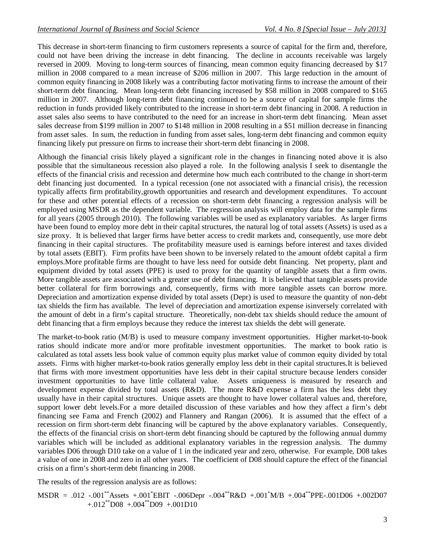This decrease in short-term financing to firm customers represents a source of capital for the firm and, therefore, could not have been driving the increase in debt financing. The decline in accounts receivable was largely reversed in 2009. Moving to long-term sources of financing, mean common equity financing decreased by \$17 million in 2008 compared to a mean increase of \$206 million in 2007. This large reduction in the amount of common equity financing in 2008 likely was a contributing factor motivating firms to increase the amount of their short-term debt financing. Mean long-term debt financing increased by \$58 million in 2008 compared to \$165 million in 2007. Although long-term debt financing continued to be a source of capital for sample firms the reduction in funds provided likely contributed to the increase in short-term debt financing in 2008. A reduction in asset sales also seems to have contributed to the need for an increase in short-term debt financing. Mean asset sales decrease from \$199 million in 2007 to \$148 million in 2008 resulting in a \$51 million decrease in financing from asset sales. In sum, the reduction in funding from asset sales, long-term debt financing and common equity financing likely put pressure on firms to increase their short-term debt financing in 2008.

Although the financial crisis likely played a significant role in the changes in financing noted above it is also possible that the simultaneous recession also played a role. In the following analysis I seek to disentangle the effects of the financial crisis and recession and determine how much each contributed to the change in short-term debt financing just documented. In a typical recession (one not associated with a financial crisis), the recession typically affects firm profitability,growth opportunities and research and development expenditures. To account for these and other potential effects of a recession on short-term debt financing a regression analysis will be employed using MSDR as the dependent variable. The regression analysis will employ data for the sample firms for all years (2005 through 2010). The following variables will be used as explanatory variables. As larger firms have been found to employ more debt in their capital structures, the natural log of total assets (Assets) is used as a size proxy. It is believed that larger firms have better access to credit markets and, consequently, use more debt financing in their capital structures. The profitability measure used is earnings before interest and taxes divided by total assets (EBIT). Firm profits have been shown to be inversely related to the amount ofdebt capital a firm employs.More profitable firms are thought to have less need for outside debt financing. Net property, plant and equipment divided by total assets (PPE) is used to proxy for the quantity of tangible assets that a firm owns. More tangible assets are associated with a greater use of debt financing. It is believed that tangible assets provide better collateral for firm borrowings and, consequently, firms with more tangible assets can borrow more. Depreciation and amortization expense divided by total assets (Depr) is used to measure the quantity of non-debt tax shields the firm has available. The level of depreciation and amortization expense isinversely correlated with the amount of debt in a firm's capital structure. Theoretically, non-debt tax shields should reduce the amount of debt financing that a firm employs because they reduce the interest tax shields the debt will generate.

The market-to-book ratio (M/B) is used to measure company investment opportunities. Higher market-to-book ratios should indicate more and/or more profitable investment opportunities. The market to book ratio is calculated as total assets less book value of common equity plus market value of common equity divided by total assets. Firms with higher market-to-book ratios generally employ less debt in their capital structures.It is believed that firms with more investment opportunities have less debt in their capital structure because lenders consider investment opportunities to have little collateral value. Assets uniqueness is measured by research and development expense divided by total assets (R&D). The more R&D expense a firm has the less debt they usually have in their capital structures. Unique assets are thought to have lower collateral values and, therefore, support lower debt levels.For a more detailed discussion of these variables and how they affect a firm's debt financing see Fama and French (2002) and Flannery and Rangan (2006). It is assumed that the effect of a recession on firm short-term debt financing will be captured by the above explanatory variables. Consequently, the effects of the financial crisis on short-term debt financing should be captured by the following annual dummy variables which will be included as additional explanatory variables in the regression analysis. The dummy variables D06 through D10 take on a value of 1 in the indicated year and zero, otherwise. For example, D08 takes a value of one in 2008 and zero in all other years. The coefficient of D08 should capture the effect of the financial crisis on a firm's short-term debt financing in 2008.

The results of the regression analysis are as follows:

MSDR = .012 -.001\*\*Assets +.001\*EBIT -.006Depr -.004\*\*R&D +.001\*M/B +.004\*\*PPE-.001D06 +.002D07  $+.012^{**}$ D08  $+.004^{**}$ D09  $+.001D10$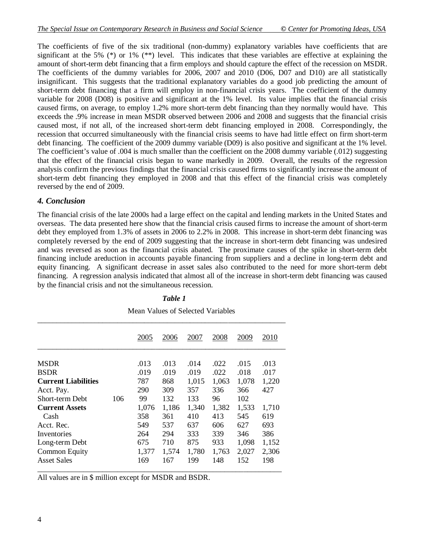The coefficients of five of the six traditional (non-dummy) explanatory variables have coefficients that are significant at the 5% (\*) or 1% (\*\*) level. This indicates that these variables are effective at explaining the amount of short-term debt financing that a firm employs and should capture the effect of the recession on MSDR. The coefficients of the dummy variables for 2006, 2007 and 2010 (D06, D07 and D10) are all statistically insignificant. This suggests that the traditional explanatory variables do a good job predicting the amount of short-term debt financing that a firm will employ in non-financial crisis years. The coefficient of the dummy variable for 2008 (D08) is positive and significant at the 1% level. Its value implies that the financial crisis caused firms, on average, to employ 1.2% more short-term debt financing than they normally would have. This exceeds the .9% increase in mean MSDR observed between 2006 and 2008 and suggests that the financial crisis caused most, if not all, of the increased short-term debt financing employed in 2008. Correspondingly, the recession that occurred simultaneously with the financial crisis seems to have had little effect on firm short-term debt financing. The coefficient of the 2009 dummy variable (D09) is also positive and significant at the 1% level. The coefficient's value of .004 is much smaller than the coefficient on the 2008 dummy variable (.012) suggesting that the effect of the financial crisis began to wane markedly in 2009. Overall, the results of the regression analysis confirm the previous findings that the financial crisis caused firms to significantly increase the amount of short-term debt financing they employed in 2008 and that this effect of the financial crisis was completely reversed by the end of 2009.

#### *4. Conclusion*

The financial crisis of the late 2000s had a large effect on the capital and lending markets in the United States and overseas. The data presented here show that the financial crisis caused firms to increase the amount of short-term debt they employed from 1.3% of assets in 2006 to 2.2% in 2008. This increase in short-term debt financing was completely reversed by the end of 2009 suggesting that the increase in short-term debt financing was undesired and was reversed as soon as the financial crisis abated. The proximate causes of the spike in short-term debt financing include areduction in accounts payable financing from suppliers and a decline in long-term debt and equity financing. A significant decrease in asset sales also contributed to the need for more short-term debt financing. A regression analysis indicated that almost all of the increase in short-term debt financing was caused by the financial crisis and not the simultaneous recession.

|                            |     | 2005  | 2006  | 2007  | 2008  | 2009  | 2010  |
|----------------------------|-----|-------|-------|-------|-------|-------|-------|
| <b>MSDR</b>                |     | .013  | .013  | .014  | .022  | .015  | .013  |
| <b>BSDR</b>                |     | .019  | .019  | .019  | .022  | .018  | .017  |
| <b>Current Liabilities</b> |     | 787   | 868   | 1,015 | 1,063 | 1,078 | 1,220 |
| Acct. Pay.                 |     | 290   | 309   | 357   | 336   | 366   | 427   |
| Short-term Debt            | 106 | 99    | 132   | 133   | 96    | 102   |       |
| <b>Current Assets</b>      |     | 1,076 | 1,186 | 1,340 | 1,382 | 1,533 | 1,710 |
| Cash                       |     | 358   | 361   | 410   | 413   | 545   | 619   |
| Acct. Rec.                 |     | 549   | 537   | 637   | 606   | 627   | 693   |
| Inventories                |     | 264   | 294   | 333   | 339   | 346   | 386   |
| Long-term Debt             |     | 675   | 710   | 875   | 933   | 1,098 | 1,152 |
| <b>Common Equity</b>       |     | 1,377 | 1,574 | 1,780 | 1,763 | 2,027 | 2,306 |
| <b>Asset Sales</b>         |     | 169   | 167   | 199   | 148   | 152   | 198   |

#### *Table 1*

Mean Values of Selected Variables

\_\_\_\_\_\_\_\_\_\_\_\_\_\_\_\_\_\_\_\_\_\_\_\_\_\_\_\_\_\_\_\_\_\_\_\_\_\_\_\_\_\_\_\_\_\_\_\_\_\_\_\_\_\_\_\_\_\_\_\_\_\_\_\_ All values are in \$ million except for MSDR and BSDR.